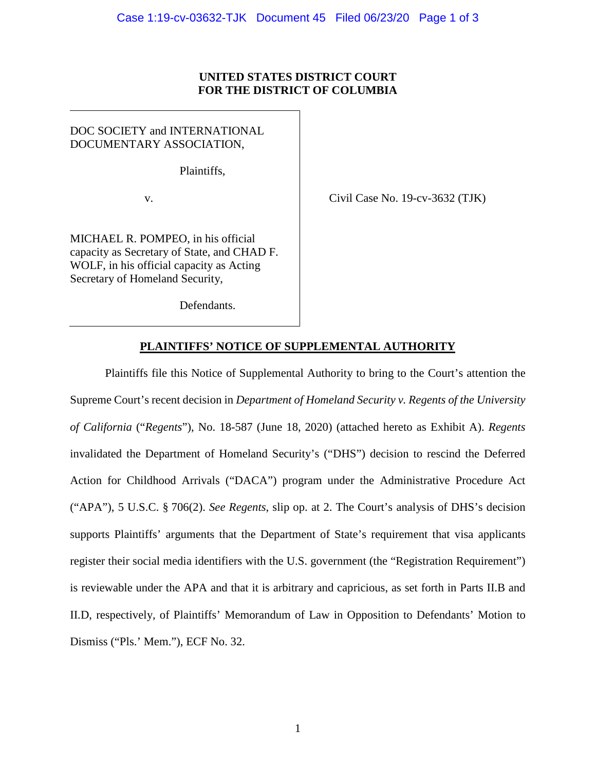## **UNITED STATES DISTRICT COURT FOR THE DISTRICT OF COLUMBIA**

DOC SOCIETY and INTERNATIONAL DOCUMENTARY ASSOCIATION,

Plaintiffs,

v.

MICHAEL R. POMPEO, in his official capacity as Secretary of State, and CHAD F. WOLF, in his official capacity as Acting Secretary of Homeland Security,

Civil Case No. 19-cv-3632 (TJK)

# Defendants.

## **PLAINTIFFS' NOTICE OF SUPPLEMENTAL AUTHORITY**

Plaintiffs file this Notice of Supplemental Authority to bring to the Court's attention the Supreme Court's recent decision in *Department of Homeland Security v. Regents of the University of California* ("*Regents*"), No. 18-587 (June 18, 2020) (attached hereto as Exhibit A). *Regents* invalidated the Department of Homeland Security's ("DHS") decision to rescind the Deferred Action for Childhood Arrivals ("DACA") program under the Administrative Procedure Act ("APA"), 5 U.S.C. § 706(2). *See Regents*, slip op. at 2. The Court's analysis of DHS's decision supports Plaintiffs' arguments that the Department of State's requirement that visa applicants register their social media identifiers with the U.S. government (the "Registration Requirement") is reviewable under the APA and that it is arbitrary and capricious, as set forth in Parts II.B and II.D, respectively, of Plaintiffs' Memorandum of Law in Opposition to Defendants' Motion to Dismiss ("Pls.' Mem."), ECF No. 32.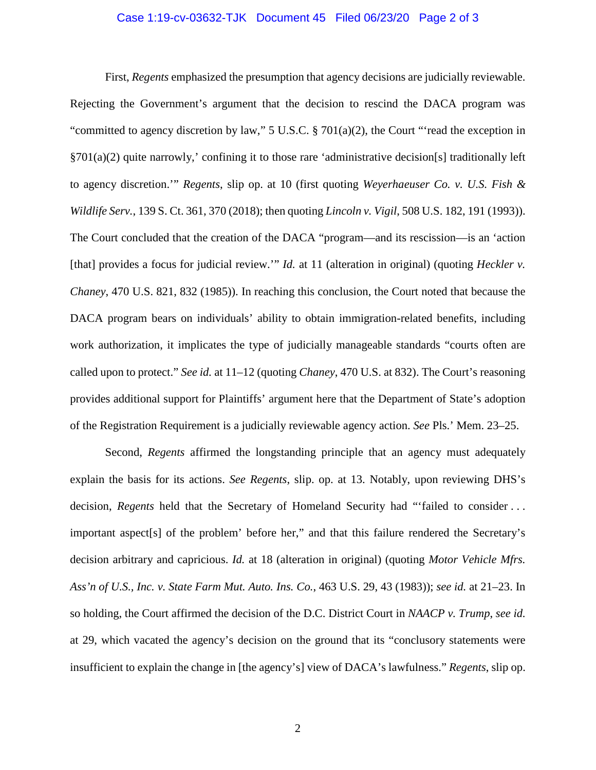#### Case 1:19-cv-03632-TJK Document 45 Filed 06/23/20 Page 2 of 3

First, *Regents* emphasized the presumption that agency decisions are judicially reviewable. Rejecting the Government's argument that the decision to rescind the DACA program was "committed to agency discretion by law," 5 U.S.C. § 701(a)(2), the Court "'read the exception in §701(a)(2) quite narrowly,' confining it to those rare 'administrative decision[s] traditionally left to agency discretion.'" *Regents*, slip op. at 10 (first quoting *Weyerhaeuser Co. v. U.S. Fish & Wildlife Serv.*, 139 S. Ct. 361, 370 (2018); then quoting *Lincoln v. Vigil*, 508 U.S. 182, 191 (1993)). The Court concluded that the creation of the DACA "program—and its rescission—is an 'action [that] provides a focus for judicial review.'" *Id.* at 11 (alteration in original) (quoting *Heckler v. Chaney*, 470 U.S. 821, 832 (1985)). In reaching this conclusion, the Court noted that because the DACA program bears on individuals' ability to obtain immigration-related benefits, including work authorization, it implicates the type of judicially manageable standards "courts often are called upon to protect." *See id.* at 11–12 (quoting *Chaney*, 470 U.S. at 832). The Court's reasoning provides additional support for Plaintiffs' argument here that the Department of State's adoption of the Registration Requirement is a judicially reviewable agency action. *See* Pls.' Mem. 23–25.

Second, *Regents* affirmed the longstanding principle that an agency must adequately explain the basis for its actions. *See Regents*, slip. op. at 13. Notably, upon reviewing DHS's decision, *Regents* held that the Secretary of Homeland Security had "'failed to consider . . . important aspect[s] of the problem' before her," and that this failure rendered the Secretary's decision arbitrary and capricious. *Id.* at 18 (alteration in original) (quoting *Motor Vehicle Mfrs. Ass'n of U.S., Inc. v. State Farm Mut. Auto. Ins. Co.*, 463 U.S. 29, 43 (1983)); *see id.* at 21–23. In so holding, the Court affirmed the decision of the D.C. District Court in *NAACP v. Trump*, *see id.*  at 29, which vacated the agency's decision on the ground that its "conclusory statements were insufficient to explain the change in [the agency's] view of DACA's lawfulness." *Regents*, slip op.